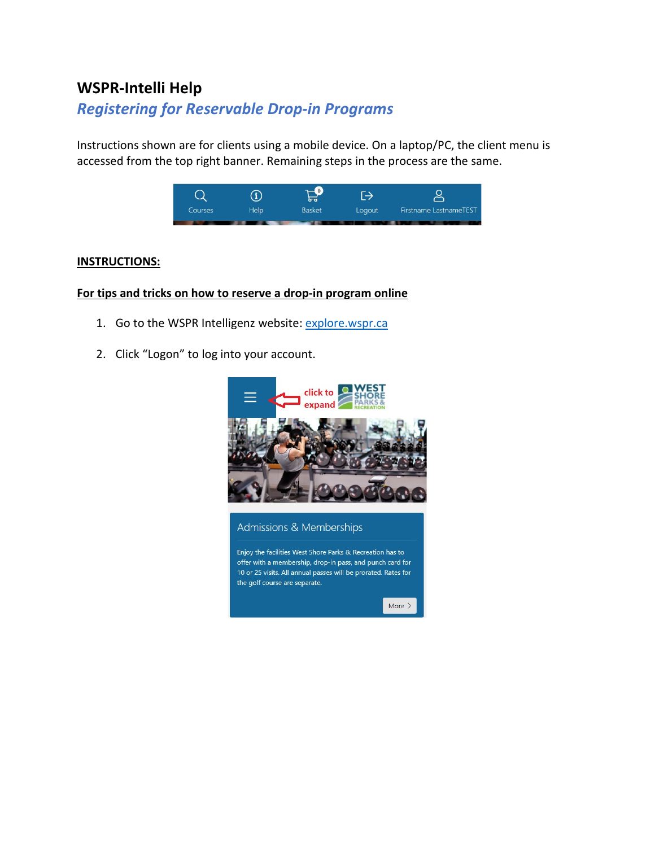# **WSPR-Intelli Help**

# *Registering for Reservable Drop-in Programs*

Instructions shown are for clients using a mobile device. On a laptop/PC, the client menu is accessed from the top right banner. Remaining steps in the process are the same.



### **INSTRUCTIONS:**

### **For tips and tricks on how to reserve a drop-in program online**

- 1. Go to the WSPR Intelligenz website: [explore.wspr.ca](https://explore.wspr.ca/)
- 2. Click "Logon" to log into your account.



#### Admissions & Memberships

Enjoy the facilities West Shore Parks & Recreation has to offer with a membership, drop-in pass, and punch card for 10 or 25 visits. All annual passes will be prorated. Rates for the golf course are separate.

More  $>$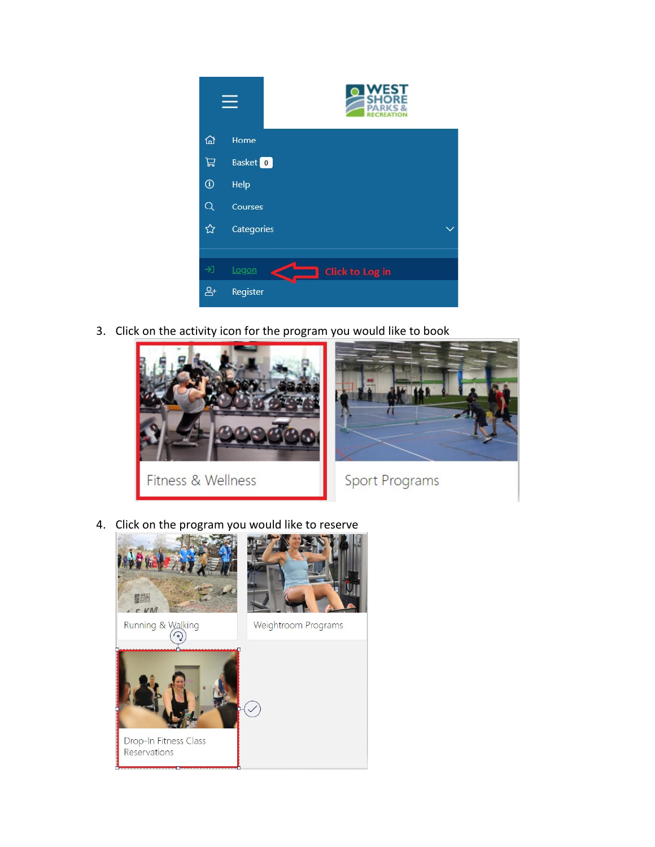

3. Click on the activity icon for the program you would like to book



4. Click on the program you would like to reserve

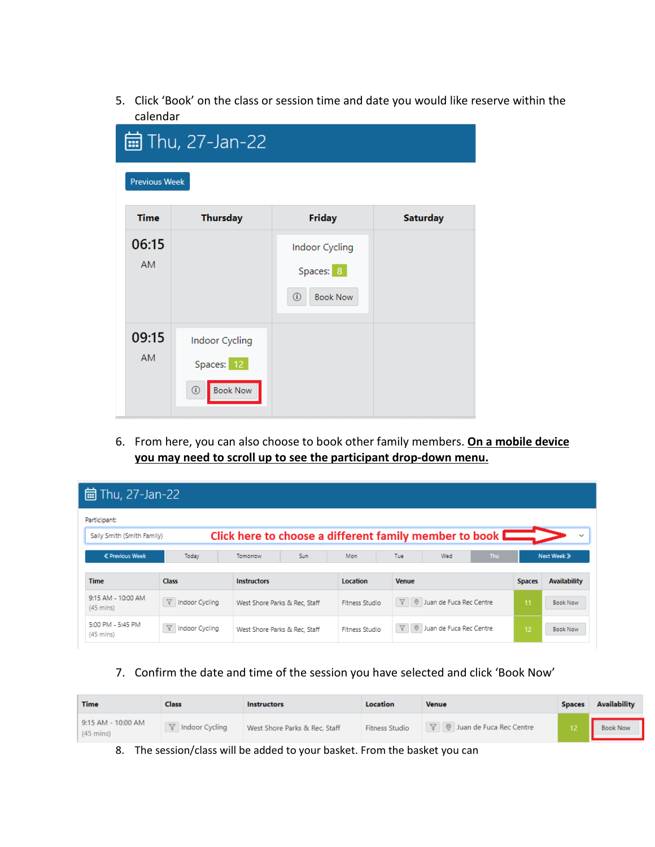5. Click 'Book' on the class or session time and date you would like reserve within the calendar

|                      | 的 Thu, 27-Jan-22                                           |                                                                |                 |
|----------------------|------------------------------------------------------------|----------------------------------------------------------------|-----------------|
| <b>Previous Week</b> |                                                            |                                                                |                 |
| <b>Time</b>          | <b>Thursday</b>                                            | <b>Friday</b>                                                  | <b>Saturday</b> |
| 06:15<br><b>AM</b>   |                                                            | Indoor Cycling<br>Spaces: 8<br>$^\circledR$<br><b>Book Now</b> |                 |
| 09:15<br>AM.         | Indoor Cycling<br>Spaces: 12<br><b>Book Now</b><br>$\circ$ |                                                                |                 |

6. From here, you can also choose to book other family members. **On a mobile device you may need to scroll up to see the participant drop-down menu.**

| 的 Thu, 27-Jan-22                          |                         |                                                        |                       |                                                      |            |               |                     |
|-------------------------------------------|-------------------------|--------------------------------------------------------|-----------------------|------------------------------------------------------|------------|---------------|---------------------|
| Participant:                              |                         |                                                        |                       |                                                      |            |               |                     |
| Sally Smith (Smith Family)                |                         | Click here to choose a different family member to book |                       |                                                      |            |               | $\checkmark$        |
| <b>« Previous Week</b>                    | Today                   | Tomorrow<br>Sun                                        | Mon                   | Tue<br>Wed                                           | <b>Thu</b> |               | Next Week »         |
| <b>Time</b>                               | <b>Class</b>            | <b>Instructors</b>                                     | <b>Location</b>       | <b>Venue</b>                                         |            | <b>Spaces</b> | <b>Availability</b> |
| 9:15 AM - 10:00 AM<br>$(45 \text{ mins})$ | $\nabla$ Indoor Cycling | West Shore Parks & Rec. Staff                          | <b>Fitness Studio</b> | $\nabla$ $\theta$ Juan de Fuca Rec Centre            |            | 11            | <b>Book Now</b>     |
| 5:00 PM - 5:45 PM<br>$(45 \text{ mins})$  | <b>Y</b> Indoor Cycling | West Shore Parks & Rec. Staff                          | <b>Fitness Studio</b> | $\nabla \parallel \emptyset$ Juan de Fuca Rec Centre |            | 12            | <b>Book Now</b>     |

7. Confirm the date and time of the session you have selected and click 'Book Now'

| <b>Time</b>                               | Class                   | <b>Instructors</b>            | Location              | <b>Venue</b>                       | <b>Spaces</b> | <b>Availability</b> |
|-------------------------------------------|-------------------------|-------------------------------|-----------------------|------------------------------------|---------------|---------------------|
| 9:15 AM - 10:00 AM<br>$(45 \text{ mins})$ | <b>了</b> Indoor Cycling | West Shore Parks & Rec, Staff | <b>Fitness Studio</b> | <b>7</b> ◎ Juan de Fuca Rec Centre |               | <b>Book Now</b>     |

8. The session/class will be added to your basket. From the basket you can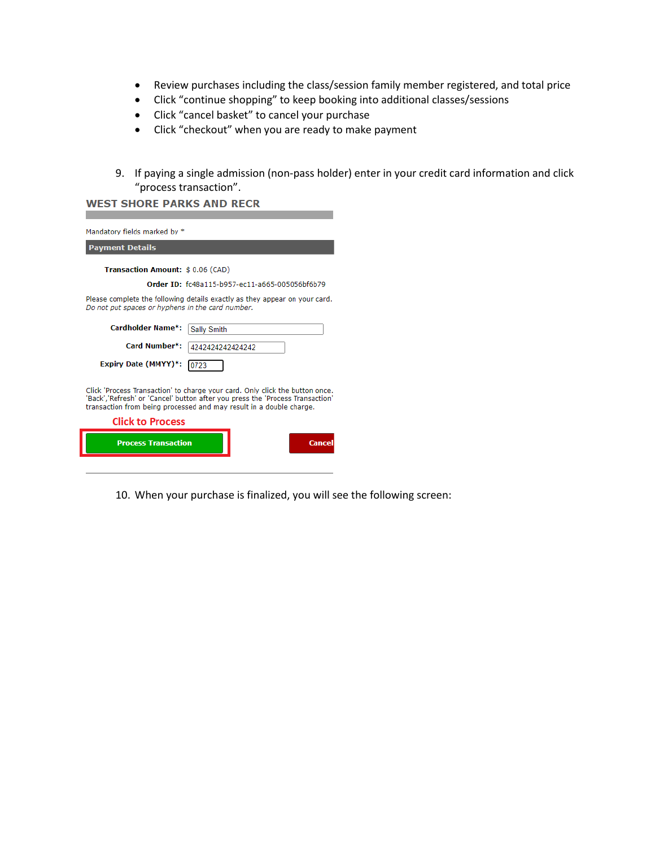- Review purchases including the class/session family member registered, and total price
- Click "continue shopping" to keep booking into additional classes/sessions
- Click "cancel basket" to cancel your purchase
- Click "checkout" when you are ready to make payment
- 9. If paying a single admission (non-pass holder) enter in your credit card information and click "process transaction".

| Mandatory fields marked by *                                                                                                                                                                                                         |
|--------------------------------------------------------------------------------------------------------------------------------------------------------------------------------------------------------------------------------------|
| <b>Payment Details</b>                                                                                                                                                                                                               |
| Transaction Amount: \$0.06 (CAD)                                                                                                                                                                                                     |
| Order ID: fc48a115-b957-ec11-a665-005056bf6b79                                                                                                                                                                                       |
| Please complete the following details exactly as they appear on your card.<br>Do not put spaces or hyphens in the card number.                                                                                                       |
| Cardholder Name*:<br>Sally Smith                                                                                                                                                                                                     |
| Card Number*:<br>42424242424242                                                                                                                                                                                                      |
| Expiry Date (MMYY)*:<br>0723                                                                                                                                                                                                         |
| Click 'Process Transaction' to charge your card. Only click the button once.<br>'Back','Refresh' or 'Cancel' button after you press the 'Process Transaction'<br>transaction from being processed and may result in a double charge. |
| <b>Click to Process</b>                                                                                                                                                                                                              |
| <b>Process Transaction</b><br>Cancel                                                                                                                                                                                                 |

10. When your purchase is finalized, you will see the following screen: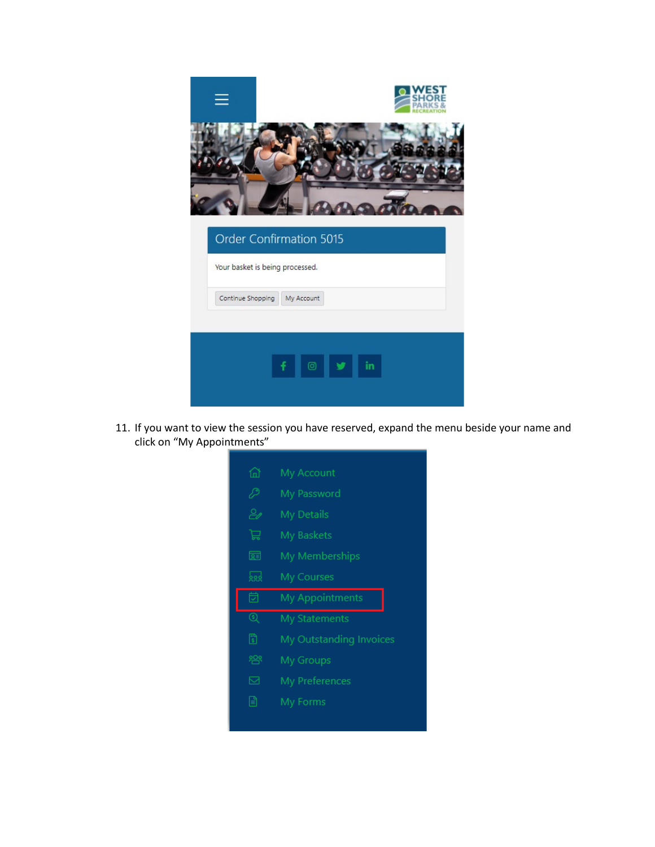

11. If you want to view the session you have reserved, expand the menu beside your name and click on "My Appointments"

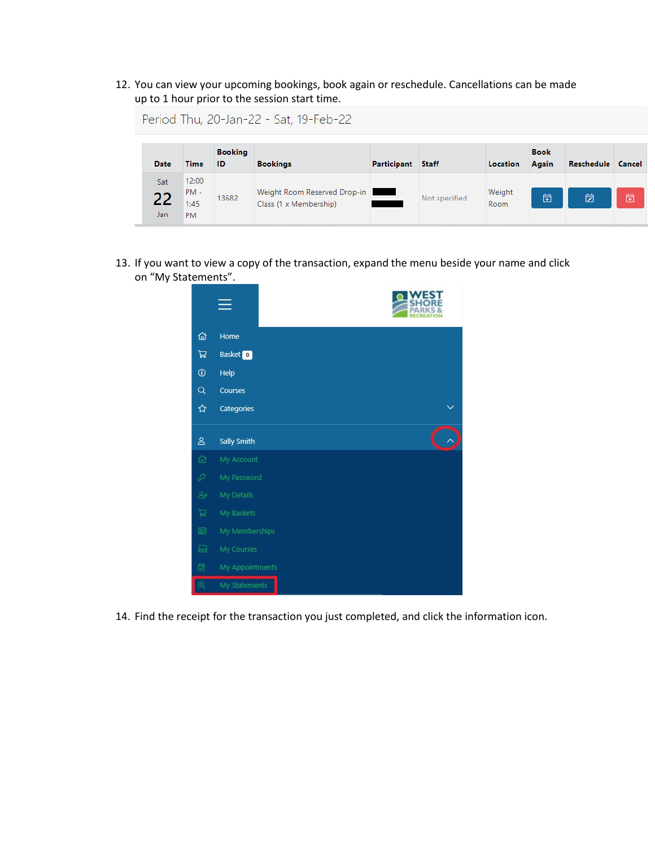12. You can view your upcoming bookings, book again or reschedule. Cancellations can be made up to 1 hour prior to the session start time.

|                   |                                      |                      | Period Thu, 20-Jan-22 - Sat, 19-Feb-22                 |             |               |                 |                      |                   |   |
|-------------------|--------------------------------------|----------------------|--------------------------------------------------------|-------------|---------------|-----------------|----------------------|-------------------|---|
| Date              | <b>Time</b>                          | <b>Booking</b><br>ID | <b>Bookings</b>                                        | Participant | <b>Staff</b>  | <b>Location</b> | <b>Book</b><br>Again | Reschedule Cancel |   |
| Sat<br>22<br>Jan. | 12:00<br>$PM -$<br>1:45<br><b>DM</b> | 13682                | Weight Room Reserved Drop-in<br>Class (1 x Membership) |             | Not specified | Weight<br>Room  | 卣                    | 茵                 | 笝 |

13. If you want to view a copy of the transaction, expand the menu beside your name and click on "My Statements".



14. Find the receipt for the transaction you just completed, and click the information icon.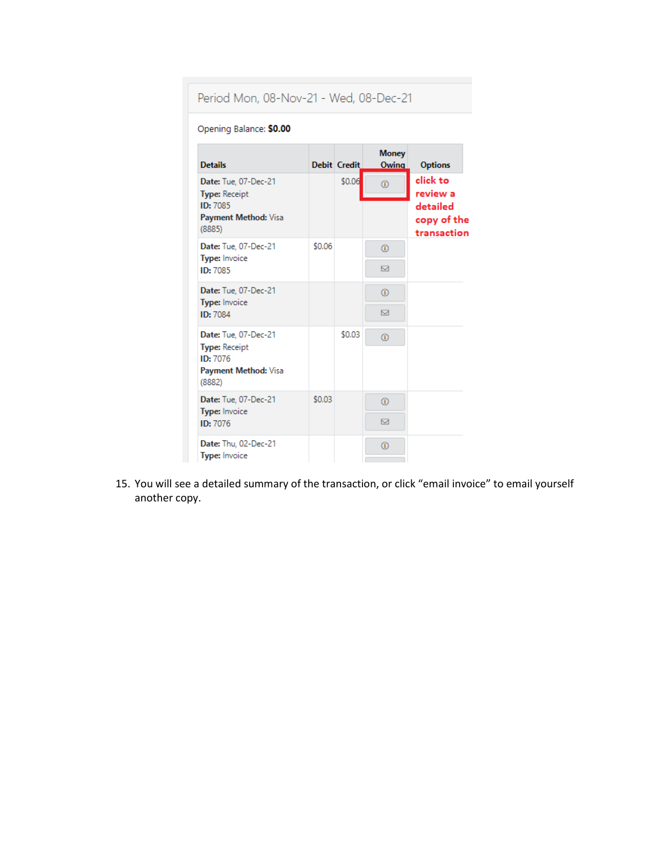## Period Mon, 08-Nov-21 - Wed, 08-Dec-21

#### Opening Balance: \$0.00

| <b>Details</b>                                                     |        | <b>Debit Credit</b> | <b>Money</b><br>Owing | <b>Options</b>                         |
|--------------------------------------------------------------------|--------|---------------------|-----------------------|----------------------------------------|
| Date: Tue, 07-Dec-21<br><b>Type: Receipt</b>                       |        | \$0.06              | $\odot$               | click to<br>review a                   |
| ID: 7085<br>Payment Method: Visa<br>(8885)                         |        |                     |                       | detailed<br>copy of the<br>transaction |
| Date: Tue, 07-Dec-21<br>Type: Invoice                              | \$0.06 |                     | ⊕                     |                                        |
| ID: 7085                                                           |        |                     | ⊠                     |                                        |
| Date: Tue, 07-Dec-21<br><b>Type: Invoice</b>                       |        |                     | $\circ$               |                                        |
| ID: 7084                                                           |        |                     | ⊠                     |                                        |
| Date: Tue, 07-Dec-21                                               |        | \$0.03              | $^\circledR$          |                                        |
| <b>Type: Receipt</b><br>ID: 7076<br>Payment Method: Visa<br>(8882) |        |                     |                       |                                        |
| Date: Tue. 07-Dec-21                                               | \$0.03 |                     | $\circ$               |                                        |
| Type: Invoice<br>ID: 7076                                          |        |                     | ⊠                     |                                        |
| Date: Thu, 02-Dec-21<br><b>Type: Invoice</b>                       |        |                     | $\circ$               |                                        |

15. You will see a detailed summary of the transaction, or click "email invoice" to email yourself another copy.